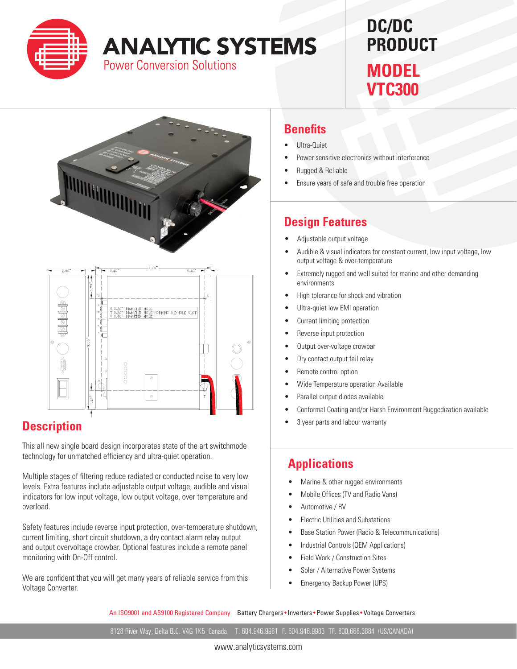

# **ANALYTIC SYSTEMS**

**Power Conversion Solutions** 

## **DC/DC PRODUCT MODEL**

**VTC300**



#### **Description**

 $\overline{\mathbf{S}}$ 

This all new single board design incorporates state of the art switchmode technology for unmatched efficiency and ultra-quiet operation.

 $\bullet$ 

Multiple stages of filtering reduce radiated or conducted noise to very low levels. Extra features include adjustable output voltage, audible and visual indicators for low input voltage, low output voltage, over temperature and overload.

Safety features include reverse input protection, over-temperature shutdown, current limiting, short circuit shutdown, a dry contact alarm relay output and output overvoltage crowbar. Optional features include a remote panel monitoring with On-Off control.

We are confident that you will get many years of reliable service from this Voltage Converter.

#### **Benefits**

- Ultra-Quiet
- Power sensitive electronics without interference
- **Rugged & Reliable**
- Ensure years of safe and trouble free operation

### **Design Features**

- Adjustable output voltage
- Audible & visual indicators for constant current, low input voltage, low output voltage & over-temperature
- • Extremely rugged and well suited for marine and other demanding environments
- • High tolerance for shock and vibration
- Ultra-quiet low EMI operation
- Current limiting protection
- Reverse input protection
- Output over-voltage crowbar
- Dry contact output fail relay
- Remote control option
- Wide Temperature operation Available
- Parallel output diodes available
- Conformal Coating and/or Harsh Environment Ruggedization available
- 3 year parts and labour warranty

#### **Applications**

- Marine & other rugged environments
- Mobile Offices (TV and Radio Vans)
- Automotive / RV
- **Electric Utilities and Substations**
- Base Station Power (Radio & Telecommunications)
- Industrial Controls (OEM Applications)
- Field Work / Construction Sites
- Solar / Alternative Power Systems
- **Emergency Backup Power (UPS)**

An ISO9001 and AS9100 Registered Company Battery Chargers • Inverters • Power Supplies • Voltage Converters